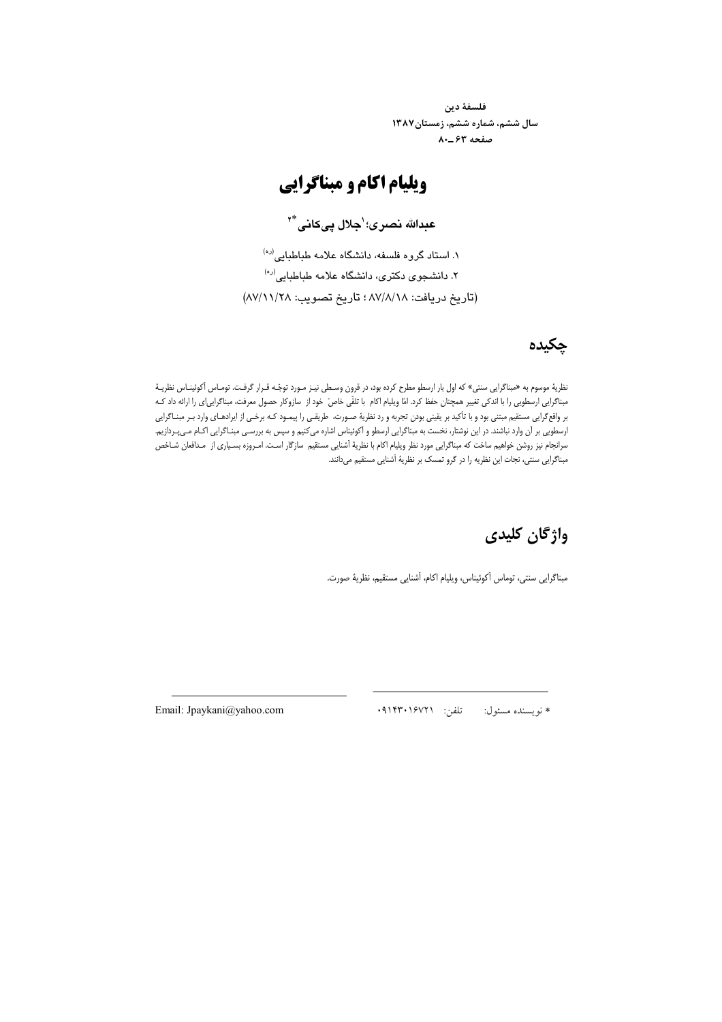فلسفهٔ دین سال ششم، شماره ششم، زمستان۱۳۸۷ صفحه ۶۳-۸۰

### ويليام اكام و مبناگرايي

عبدالله نصري؛'جلال یے کانے \*'

۱. استاد گروه فلسفه، دانشگاه علامه طباطبایی<sup>(ره)</sup> ۲. دانشجوی دکتری، دانشگاه علامه طباطبایی<sup>(ره)</sup> (تاريخ دريافت: ٨٧/٨/١٨ ؛ تاريخ تصويب: ٨٧/١١/٢٨)

### چکیده

نظریهٔ موسوم به «مبناگرایی سنتی» که اول بار ارسطو مطرح کرده بود، در قرون وسطی نیـز مـورد توجّـه قـرار گرفـت. تومـاس آکوئینـاس نظریـهٔ مبناگرایی ارسطویی را با اندکی تغییر همچنان حفظ کرد. امّا ویلیام اکام با تلقّی خاصّ خود از سازوکار حصول معرفت، مبناگرایی!ی را ارائه داد کـه بر واقع گرایی مستقیم مبتنی بود و با تأکید بر یقینی بودن تجربه و رد نظریهٔ صـورت، طریقـی را پیمـود کـه برخـی از ایرادهـای وارد بـر مبنـاگرایی ارسطویی بر آن وارد نباشند. در این نوشتار، نخست به مبناگرایی ارسطو و آکوئیناس اشاره می کنیم و سپس به بررسـی مبنـاگرایی اکـام مـیپـردازیم. سرانجام نیز روشن خواهیم ساخت که مبناگرایی مورد نظر ویلیام اکام با نظریهٔ آشنایی مستقیم سازگار است. امـروزه بسـیاری از مـدافعان شـاخص مبناگرایی سنتی، نجات این نظریه را در گرو تمسک بر نظریهٔ آشنایی مستقیم میدانند.

## واژگان کلیدی

مبناگرایی سنتی، توماس اَکوئیناس، ویلیام اکام، اَشنایی مستقیم، نظریهٔ صورت.

تلفن: ٩١۴٣٠١۶٧٢١ \* نويسنده مسئول:

Email: Jpaykani@yahoo.com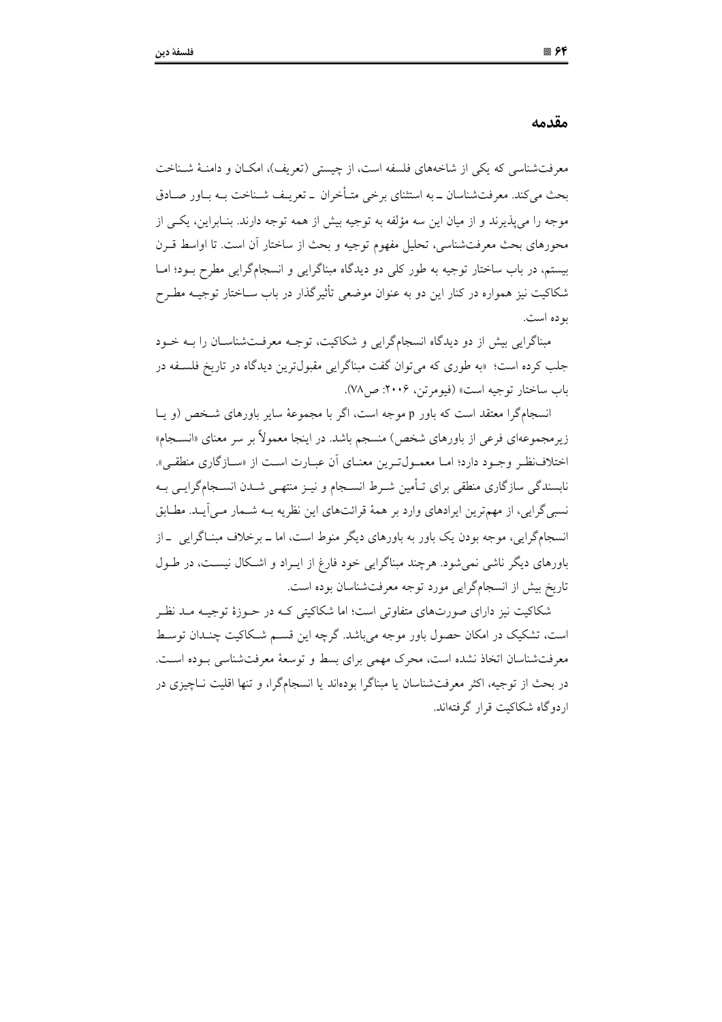مقدمه

معرفت شناسی که یکی از شاخههای فلسفه است، از چیستی (تعریف)، امکــان و دامنــهٔ شــناخت بحث می کند. معرفتشناسان ــ به استثنای برخی متـأخران ــ تعریـف شــناخت بــه بــاور صــادق موجه را مي پذيرند و از ميان اين سه مؤلفه به توجيه بيش از همه توجه دارند. بنـابراين، يكـي از محورهای بحث معرفتشناسی، تحلیل مفهوم توجیه و بحث از ساختار أن است. تا اواسط قــرن بیستم، در باب ساختار توجیه به طور کلی دو دیدگاه مبناگرایی و انسجامگرایی مطرح بـود؛ امـا شکاکیت نیز همواره در کنار این دو به عنوان موضعی تأثیرگذار در باب سـاختار توجیــه مطــرح بو ده است.

مبناگرایی بیش از دو دیدگاه انسجامگرایی و شکاکیت، توجـه معرفـتشناسـان را بـه خـود جلب کرده است؛ «به طوری که می توان گفت مبناگرایی مقبول ترین دیدگاه در تاریخ فلسـفه در باب ساختار توجيه است» (فيومرتن، ٢٠٠۶: ص٧٨).

انسجامگرا معتقد است که باور p موجه است، اگر با مجموعهٔ سایر باورهای شخص (و یـا زیر مجموعهای فرعی از باورهای شخص) منسجم باشد. در اینجا معمولاً بر سر معنای «انســجام» اختلاف نظر وجـود دارد؛ امـا معمـولتـرين معنـاي آن عبـارت اسـت از «سـازگاري منطقـم». نابسندگی سازگاری منطقی برای تـأمین شـرط انسـجام و نیــز منتهـی شــدن انســجامگرایــی بــه نسبی گرایی، از مهمترین ایرادهای وارد بر همهٔ قرائتهای این نظریه بــه شــمار مــی]یــد. مطــابق انسجامگرایی، موجه بودن یک باور به باورهای دیگر منوط است، اما ــ برخلاف مبنــاگرایی ــ از باورهای دیگر ناشی نمی شود. هرچند مبناگرایی خود فارغ از ایـراد و اشـکال نیسـت، در طـول تاريخ بيش از انسجامگرايي مورد توجه معرفتشناسان بوده است.

شکاکیت نیز دارای صورتهای متفاوتی است؛ اما شکاکیتی کـه در حــوزهٔ توجیــه مــد نظـر است، تشکیک در امکان حصول باور موجه می باشد. گرچه این قسـم شـکاکیت چنـدان توسـط معرفتشناسان اتخاذ نشده است، محرک مهمی برای بسط و توسعهٔ معرفتشناسی بـوده اسـت. در بحث از توجیه، اکثر معرفتشناسان یا مبناگرا بودهاند یا انسجامگرا، و تنها اقلیت نــاجیزی در اردوگاه شکاکیت قرار گرفتهاند.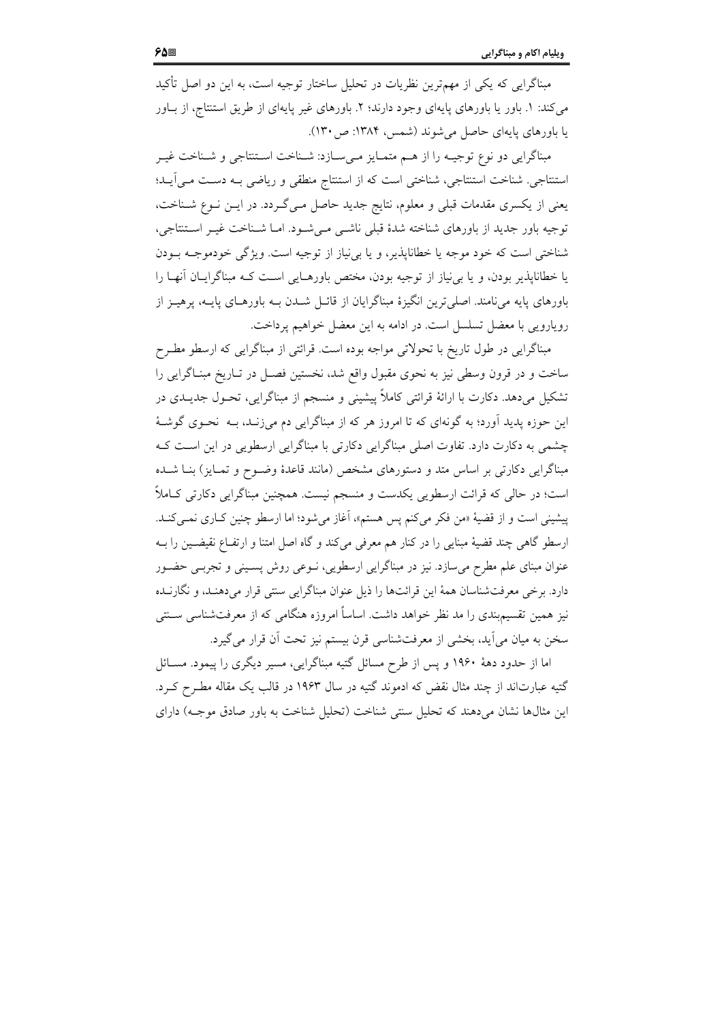مبناگرایی که یکی از مهمترین نظریات در تحلیل ساختار توجیه است، به این دو اصل تأکید می کند: ١. باور یا باورهای پایهای وجود دارند؛ ٢. باورهای غیر پایهای از طریق استنتاج، از بـاور یا باورهای پایهای حاصل می شوند (شمس، ۱۳۸۴: ص۱۳۰).

مبناگرايي دو نوع توجيـه را از هـم متمـايز مـي سـازد: شـناخت اسـتنتاجي و شـناخت غيـر استنتاجي. شناخت استنتاجي، شناختي است كه از استنتاج منطقي و رياضي بـه دسـت مـي آيــد؛ یعنی از یکسری مقدمات قبلی و معلوم، نتایج جدید حاصل مـیگـردد. در ایـن نـوع شـناخت، توجیه باور جدید از باورهای شناخته شدهٔ قبلی ناشــی مــیشــود. امــا شــناخت غیــر اســتنتاجی، شناختی است که خود موجه یا خطاناپذیر، و یا بی نیاز از توجیه است. ویژگی خودموجـه بـودن یا خطاناپذیر بودن، و یا بی نیاز از توجیه بودن، مختص باورهـایی اسـت کـه مبناگرایـان آنهـا را باورهای پایه می نامند. اصلی ترین انگیزهٔ مبناگرایان از قائـل شــدن بــه باورهــای پایــه، پرهیــز از رویارویی با معضل تسلسل است. در ادامه به این معضل خواهیم پرداخت.

مبناگرایی در طول تاریخ با تحولاتی مواجه بوده است. قرائتی از مبناگرایی که ارسطو مطـرح ساخت و در قرون وسطی نیز به نحوی مقبول واقع شد، نخستین فصـل در تـاریخ مبنـاگرایی را تشکیل میدهد. دکارت با ارائهٔ قرائتی کاملاً پیشینی و منسجم از مبناگرایی، تحـول جدیــدی در این حوزه پدید آورد؛ به گونهای که تا امروز هر که از مبناگرایی دم می;زنـد، بــه نحــوی گوشــهٔ چشمی به دکارت دارد. تفاوت اصلی مبناگرایی دکارتی با مبناگرایی ارسطویی در این است ک مبناگرایی دکارتی بر اساس متد و دستورهای مشخص (مانند قاعدهٔ وضـوح و تمـایز) بنــا شــده است؛ در حالي كه قرائت ارسطويي يكدست و منسجم نيست. همچنين مبناگرايي دكارتي كـاملاً پیشینی است و از قضیهٔ «من فکر میکنم پس هستم»، آغاز میشود؛ اما ارسطو چنین کـاری نمـیکنـد. ارسطو گاهی چند قضیهٔ مبنایی را در کنار هم معرفی میکند و گاه اصل امتنا و ارتفـاع نقیضـین را بـه عنوان مبنای علم مطرح میٍسازد. نیز در مبناگرایی ارسطویی، نــوعی روش پســینی و تجربــی حضــور دارد. برخی معرفتشناسان همهٔ این قرائتها را ذیل عنوان مبناگرایی سنتی قرار میدهنـد، و نگارنـده نیز همین تقسیمبندی را مد نظر خواهد داشت. اساساً امروزه هنگامی که از معرفتشناسی ســنتی سخن به میان می]ید، بخشی از معرفتشناسی قرن بیستم نیز تحت آن قرار میگیرد.

اما از حدود دههٔ ۱۹۶۰ و پس از طرح مسائل گتیه مبناگرایی، مسیر دیگری را پیمود. مســائل گتیه عبارتاند از چند مثال نقض که ادموند گتیه در سال ۱۹۶۳ در قالب یک مقاله مطـرح کـرد. این مثالها نشان میدهند که تحلیل سنتی شناخت (تحلیل شناخت به باور صادق موجـه) دارای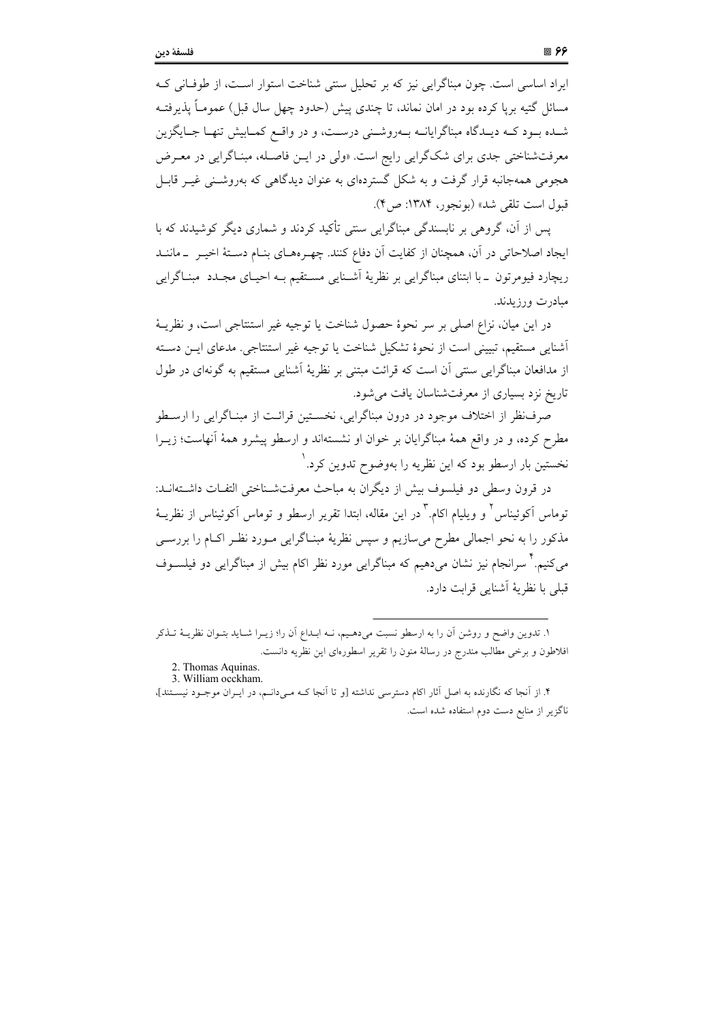ایراد اساسی است. چون مبناگرایی نیز که بر تحلیل سنتی شناخت استوار است، از طوفـانی کـه مسائل گتیه برپا کرده بود در امان نماند، تا چندی پیش (حدود چهل سال قبل) عمومـاً پذیرفتـه شــده بــود کــه دیــدگاه مبناگرایانــه بــهروشــنی درســت، و در واقــع کمــابیش تنهــا جــایگزین معرفتشناختی جدی برای شکگرایی رایج است. «ولی در ایــن فاصــله، مبنــاگرایی در معــرض هجومی همهجانبه قرار گرفت و به شکل گستردهای به عنوان دیدگاهی که بهروشـنی غیـر قابـل قبول است تلقي شد» (بونجور، ۱۳۸۴: ص۴).

پس از آن، گروهی بر نابسندگی مبناگرایی سنتی تأکید کردند و شماری دیگر کوشیدند که با ایجاد اصلاحاتی در آن، همچنان از کفایت آن دفاع کنند. چهـرههـای بنـام دسـتهٔ اخیـر \_ماننــد ریچارد فیومرتون \_با ابتنای مبناگرایی بر نظریهٔ آشـنایی مسـتقیم بـه احیـای مجـدد ً مبنـاگرایی مبادرت ورزيدند.

در این میان، نزاع اصلی بر سر نحوهٔ حصول شناخت یا توجیه غیر استنتاجی است، و نظریـهٔ أشنايي مستقيم، تبييني است از نحوهٔ تشکيل شناخت يا توجيه غير استنتاجي. مدعاي ايــن دســته از مدافعان مبناگرایی سنتی اَن است که قرائت مبتنی بر نظریهٔ اَشنایی مستقیم به گونهای در طول تاریخ نزد بسیاری از معرفتشناسان یافت می شود.

صرفنظر از اختلاف موجود در درون مبناگرایی، نخسـتین قرائـت از مبنـاگرایی را ارسـطو مطرح کرده، و در واقع همهٔ مبناگرایان بر خوان او نشستهاند و ارسطو پیشرو همهٔ آنهاست؛ زیــرا نخستین بار ارسطو بود که این نظریه را بهوضوح تدوین کرد. ٰ

در قرون وسطى دو فيلسوف بيش از ديگران به مباحث معرفتشـناختى التفـات داشـتهانــد: توماس آکوئیناس<sup>۲</sup> و ویلیام اکام.<sup>۳</sup> در این مقاله، ابتدا تقریر ارسطو و توماس آکوئیناس از نظریــهٔ مذکور را به نحو اجمالی مطرح میسازیم و سپس نظریهٔ مبنـاگرایی مـورد نظـر اکـام را بررسـی می کنیم. ٰ سرانجام نیز نشان می دهیم که مبناگرایی مورد نظر اکام بیش از مبناگرایی دو فیلســوف قبلی با نظریهٔ آشنایی قرابت دارد.

١. تدوين واضح و روشن أن را به ارسطو نسبت مىدهـيم، نــه ابــداع أن را؛ زيــرا شــايد بتــوان نظريــهٔ تــذكر افلاطون و برخی مطالب مندرج در رسالهٔ منون را تقریر اسطورهای این نظریه دانست.

<sup>2.</sup> Thomas Aquinas.

<sup>3.</sup> William occkham.

۴. از آنجا که نگارنده به اصل آثار اکام دسترسی نداشته [و تا آنجا کـه مـیدانـم، در ایـران موجـود نیسـتند]، ناگزیر از منابع دست دوم استفاده شده است.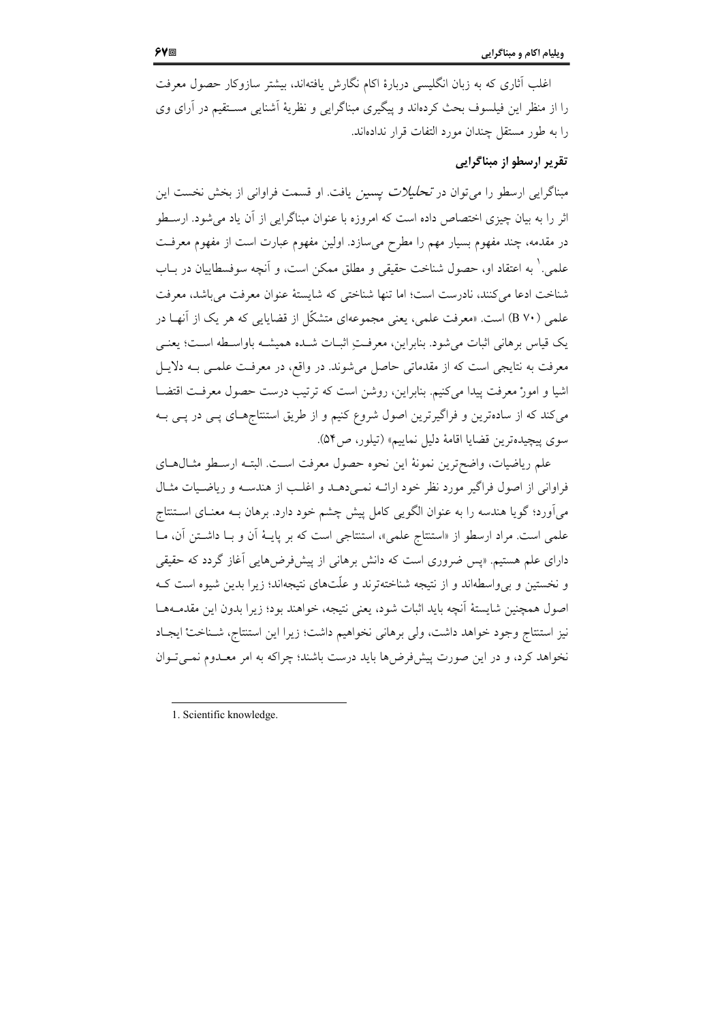اغلب آثاری که به زبان انگلیسی دربارهٔ اکام نگارش یافتهاند، بیشتر سازوکار حصول معرفت را از منظر این فیلسوف بحث کردهاند و پیگیری مبناگرایی و نظریهٔ اَشنایی مسـتقیم در آرای وی را به طور مستقل چندان مورد التفات قرار ندادهاند.

#### تقریر ارسطو از مبناگرایی

مبناگرایی ارسطو را میٍتوان در *تحلیلات یسین* یافت. او قسمت فراوانی از بخش نخست این اثر را به بیان چیزی اختصاص داده است که امروزه با عنوان مبناگرایی از آن یاد می شود. ارسـطو در مقدمه، چند مفهوم بسیار مهم را مطرح میسازد. اولین مفهوم عبارت است از مفهوم معرفت علمي.' به اعتقاد او، حصول شناخت حقيقي و مطلق ممكن است، و آنچه سوفسطاييان در بــاب شناخت ادعا می کنند، نادرست است؛ اما تنها شناختی که شایستهٔ عنوان معرفت می باشد، معرفت علمی (B ۷۰) است. «معرفت علمی، یعنی مجموعهای متشکّل از قضایایی که هر یک از آنهـا در يک قياس برهاني اثبات مي شود. بنابراين، معرفـتِ اثبــات شــده هميشــه باواســطه اســت؛ يعنــي معرفت به نتایجی است که از مقدماتی حاصل میشوند. در واقع، در معرفـت علمـی بــه دلایــل اشیا و امورْ معرفت پیدا میکنیم. بنابراین، روشن است که ترتیب درست حصول معرفت اقتضــا میکند که از سادهترین و فراگیرترین اصول شروع کنیم و از طریق استنتاجهای پسی در پسی بـه سوى پيچيدهترين قضايا اقامهٔ دليل نماييم» (تيلور، ص٥۴).

علم رياضيات، واضحترين نمونهٔ اين نحوه حصول معرفت است. البتـه ارسـطو مثـال١هـاي فراوانی از اصول فراگیر مورد نظر خود ارائـه نمـیدهـد و اغلـب از هندسـه و ریاضـیات مثـال میآورد؛ گویا هندسه را به عنوان الگویی کامل پیش چشم خود دارد. برهان بـه معنـای اسـتنتاج علمی است. مراد ارسطو از «استنتاج علمی»، استنتاجی است که بر پایـهٔ آن و بـا داشـتن آن، مـا دارای علم هستیم. «پس ضروری است که دانش برهانی از پیشفرض۵مایی آغاز گردد که حقیقی و نخستین و بی واسطهاند و از نتیجه شناختهترند و علّتهای نتیجهاند؛ زیرا بدین شیوه است ک اصول همچنین شایستهٔ آنچه باید اثبات شود، یعنی نتیجه، خواهند بود؛ زیرا بدون این مقدمـههـا نيز استنتاج وجود خواهد داشت، ولي برهاني نخواهيم داشت؛ زيرا اين استنتاج، شـناختْ ايجـاد نخواهد کرد، و در این صورت پیشفرض۵ما باید درست باشند؛ چراکه به امر معـدوم نمـی تـوان

1. Scientific knowledge.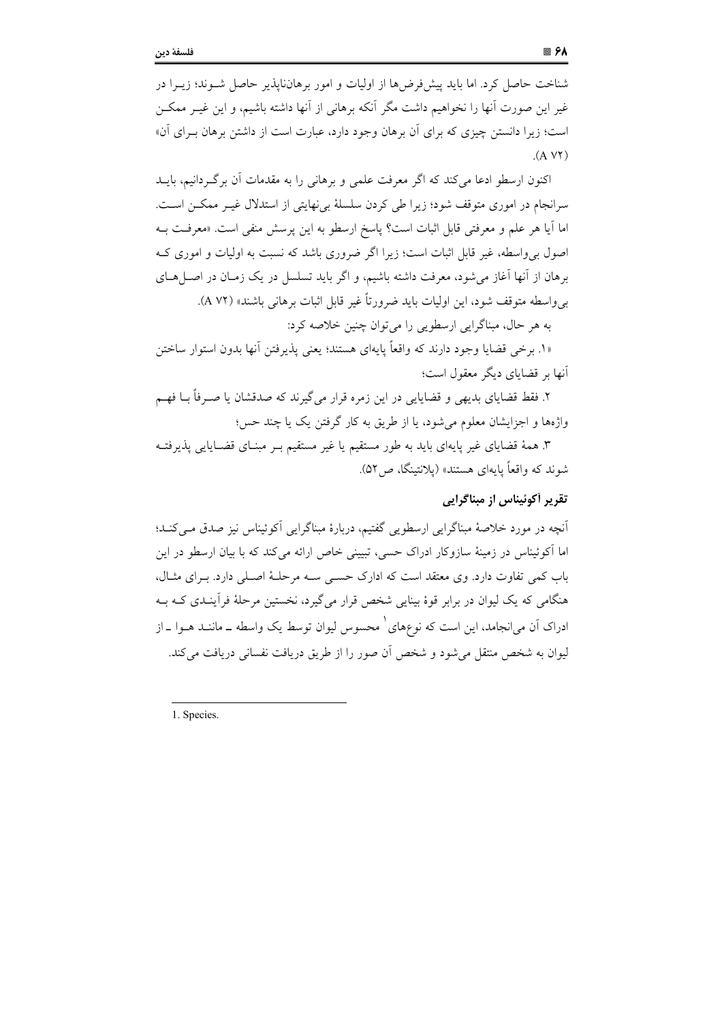شناخت حاصل کرد. اما باید پیشفرضها از اولیات و امور برهاننایذیر حاصل شــوند؛ زیــرا در غیر این صورت آنها را نخواهیم داشت مگر آنکه برهانی از آنها داشته باشیم، و این غیـر ممکــن است؛ زیرا دانستن چیزی که برای آن برهان وجود دارد، عبارت است از داشتن برهان بـرای آن»  $(A VY)$ 

اکنون ارسطو ادعا میکند که اگر معرفت علمی و برهانی را به مقدمات آن برگ دانیم، بایــد سرانجام در اموری متوقف شود؛ زیرا طی کردن سلسلهٔ بی نهایتی از استدلال غیـر ممکـن اسـت. اما أيا هر علم و معرفتي قابل اثبات است؟ پاسخ ارسطو به اين پرسش منفي است. «معرفت بــه اصول برواسطه، غیر قابل اثبات است؛ زیرا اگر ضروری باشد که نسبت به اولیات و اموری ک برهان از آنها آغاز می شود، معرفت داشته باشیم، و اگر باید تسلسل در یک زمـان در اصـلهـای بي واسطه متوقف شود، اين اوليات بايد ضرورتاً غير قابل اثبات برهاني باشند» (A ۷۲).

به هر حال، مبناگرايي ارسطويي را مي توان چنين خلاصه كرد:

«١. برخي قضايا وجود دارند كه واقعاً پايهاي هستند؛ يعني پذيرفتن آنها بدون استوار ساختن آنها بر قضایای دیگر معقول است؛

۲. فقط قضایای بدیهی و قضایایی در این زمره قرار می گیرند که صدقشان یا صـرفاً بــا فهــم واژهها و اجزایشان معلوم میشود، یا از طریق به کار گرفتن یک یا چند حس؛

۳. همهٔ قضایای غیر پایهای باید به طور مستقیم یا غیر مستقیم بــر مبنــای قضــایایی پذیرفتــه شوند که واقعاً پایهای هستند» (پلانتینگا، ص ۵۲).

### تقرير أكوئيناس از مبناگرايي

آنچه در مورد خلاصهٔ مبناگرایی ارسطویی گفتیم، دربارهٔ مبناگرایی آکوئیناس نیز صدق مبی کنـد؛ اما آکوئیناس در زمینهٔ سازوکار ادراک حسی، تبیینی خاص ارائه می کند که با بیان ارسطو در این باب کمی تفاوت دارد. وی معتقد است که ادارک حسبی سـه مرحلـهٔ اصـلی دارد. بـرای مثـال، هنگامی که یک لیوان در برابر قوهٔ بینایی شخص قرار میگیرد، نخستین مرحلهٔ فرآینـدی کـه بـه ادراک اَن می|نجامد، این است که نوعِهای ْ محسوس لیوان توسط یک واسطه ــ ماننــد هــوا ــ از ليوان به شخص منتقل مي شود و شخص آن صور را از طريق دريافت نفساني دريافت مي كند.

1. Species.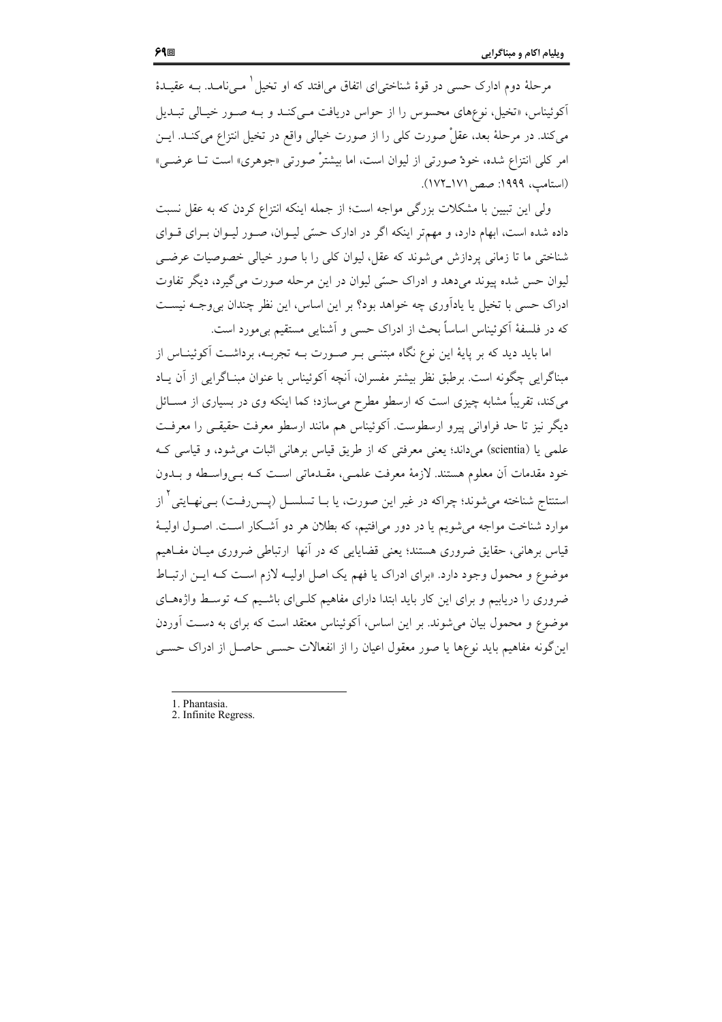مرحلهٔ دوم ادارک حسی در قوهٔ شناختی|ی اتفاق می|فتد که او تخیل ٰ مـیiمامـد. بــه عقیــدهٔ آکوئیناس، «تخیل، نوعهای محسوس را از حواس دریافت مـیکنـد و بـه صـور خیـالی تبـدیل مي كند. در مرحلهٔ بعد، عقلْ صورت كلي را از صورت خيالي واقع در تخيل انتزاع مي كنــد. ايــن امر كلي انتزاع شده، خودٌ صورتي از ليوان است، اما بيشترْ صورتي «جوهري» است تــا عرضـي» (استامب، ۱۹۹۹: صص ۱۷۱\_۱۷۲).

ولی این تبیین با مشکلات بزرگی مواجه است؛ از جمله اینکه انتزاع کردن که به عقل نسبت داده شده است، ابهام دارد، و مهمتر اینکه اگر در ادارک حسّی لیـوان، صـور لیـوان بـرای قـوای شناختی ما تا زمانی پردازش می شوند که عقل، لیوان کلی را با صور خیالی خصوصیات عرضــی ليوان حس شده پيوند مي دهد و ادراک حسّي ليوان در اين مرحله صورت مي گيرد، ديگر تفاوت ادراک حسی با تخیل یا یادآوری چه خواهد بود؟ بر این اساس، این نظر چندان بی وجـه نیسـت كه در فلسفهٔ آكوئيناس اساساً بحث از ادراك حسى و آشنايي مستقيم بيءورد است.

اما باید دید که بر پایهٔ این نوع نگاه مبتنـی بـر صـورت بـه تجربـه، برداشـت آکوئینـاس از مبناگرایی چگونه است. برطبق نظر بیشتر مفسران، آنچه آکوئیناس با عنوان مبنـاگرایی از آن پــاد میکند، تقریباً مشابه چیزی است که ارسطو مطرح میسازد؛ کما اینکه وی در بسیاری از مســائل دیگر نیز تا حد فراوانی پیرو ارسطوست. آکوئیناس هم مانند ارسطو معرفت حقیقـی را معرفـت علمي يا (scientia) مي داند؛ يعني معرفتي كه از طريق قياس برهاني اثبات مي شود، و قياسي ك خود مقدمات اَن معلوم هستند. لازمهٔ معرفت علمـی، مقـدماتی اسـت کـه بـیواسـطه و بــدون استنتاج شناخته میشوند؛ چراکه در غیر این صورت، یا بــا تسلســل (پــسررفــت) بــی;فــایتی<sup>۲</sup> از موارد شناخت مواجه می شویم یا در دور می افتیم، که بطلان هر دو آشـکار اسـت. اصـول اولیـهٔ قیاس برهانی، حقایق ضروری هستند؛ یعنی قضایایی که در آنها ارتباطی ضروری میـان مفــاهیم موضوع و محمول وجود دارد. «براي ادراك يا فهم يك اصل اوليـه لازم اسـت كـه ايـن ارتبـاط ضروری را دریابیم و برای این کار باید ابتدا دارای مفاهیم کلـی|ی باشـیم کـه توسـط واژههـای موضوع و محمول بیان میشوند. بر این اساس، آکوئیناس معتقد است که برای به دست آوردن این گونه مفاهیم باید نوعها یا صور معقول اعیان را از انفعالات حسبی حاصـل از ادراک حسـبی

- 1 Phantasia
- 2. Infinite Regress.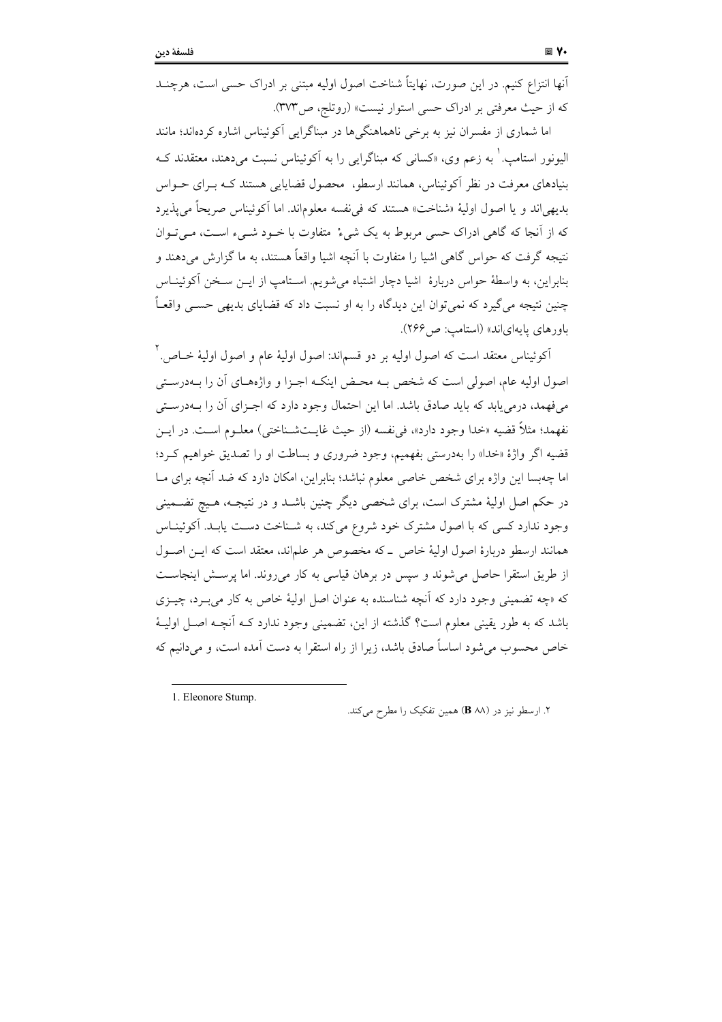آنها انتزاع کنیم. در این صورت، نهایتاً شناخت اصول اولیه مبتنی بر ادراک حسی است، هرچنــد كه از حيث معرفتي بر ادراك حسى استوار نيست» (روتلج، ص٣٧٣).

اما شماری از مفسران نیز به برخی ناهماهنگی ها در مبناگرایی آکوئیناس اشاره کردهاند؛ مانند الیونور استامپ.<sup>۱</sup> به زعم وی، «کسانی که مبناگرایی را به آکوئیناس نسبت میدهند، معتقدند کـه بنیادهای معرفت در نظر آکوئیناس، همانند ارسطو، محصول قضایایی هستند کـه بـرای حـواس بديهي إند و يا اصول اوليهٔ «شناخت» هستند كه في نفسه معلوماند. اما آكوئيناس صريحاً مي يذير د که از آنجا که گاهی ادراک حسی مربوط به یک شیءْ ً متفاوت با خـود شــیء اسـت، مــی تــوان .<br>نتیجه گرفت که حواس گاهی اشیا را متفاوت با اَنچه اشیا واقعاً هستند، به ما گزارش میدهند و بنابراین، به واسطهٔ حواس دربارهٔ اشیا دچار اشتباه میشویم. اسـتامپ از ایــن سـخن آکوئینــاس چنین نتیجه میگیرد که نمیتوان این دیدگاه را به او نسبت داد که قضایای بدیهی حســی واقعــاً باورهای پایهای اند» (استامب: ص ۲۶۶).

اَکوئیناس معتقد است که اصول اولیه بر دو قسماند: اصول اولیهٔ عام و اصول اولیهٔ خــاص. <sup>۲</sup> اصول اولیه عام، اصولی است که شخص بـه محـض اینکـه اجـزا و واژههـای آن را بــهدرسـتی میفهمد، درمی یابد که باید صادق باشد. اما این احتمال وجود دارد که اجـزای آن را بــهدرسـتی نفهمد؛ مثلاً قضيه «خدا وجود دارد»، في نفسه (از حيث غايـتشـناختي) معلــوم اســت. در ايــن قضيه اگر واژهٔ «خدا» را بهدرستي بفهميم، وجود ضروري و بساطت او را تصديق خواهيم كرد؛ اما چهبسا این واژه برای شخص خاصی معلوم نباشد؛ بنابراین، امکان دارد که ضد آنچه برای مــا در حکم اصل اولیهٔ مشترک است، برای شخصی دیگر چنین باشــد و در نتیجــه، هــیچ تضــمینی وجود ندارد کسی که با اصول مشترک خود شروع می کند، به شـناخت دسـت پابـد. آکوئینــاس همانند ارسطو دربارهٔ اصول اولیهٔ خاص \_ که مخصوص هر علماند، معتقد است که ایــن اصــول از طریق استقرا حاصل می شوند و سیس در برهان قیاسی به کار می روند. اما پرستش اینجاست که «چه تضمینی وجود دارد که آنچه شناسنده به عنوان اصل اولیهٔ خاص به کار میبرد، چیـزی باشد که به طور یقینی معلوم است؟ گذشته از این، تضمینی وجود ندارد کـه اّنچـه اصـل اولیـهٔ خاص محسوب می شود اساساً صادق باشد، زیرا از راه استقرا به دست آمده است، و می دانیم که

1. Eleonore Stump.

۲. ارسطو نیز در (B ۸۸) همین تفکیک را مطرح می کند.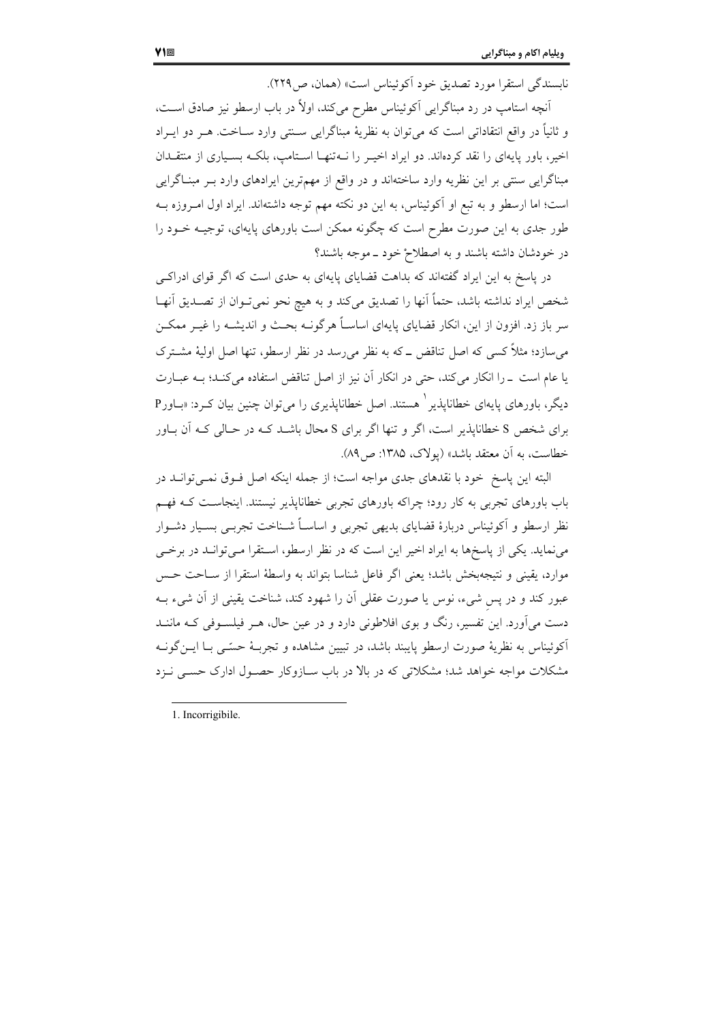نابسندگی استقرا مورد تصدیق خود آکوئیناس است» (همان، ص۲۲۹).

اّنچه استامب در رد مبناگرایی آکوئیناس مطرح میکند، اولاً در باب ارسطو نیز صادق اسـت، و ثانياً در واقع انتقاداتي است كه مي توان به نظريهٔ مبناگرايي سـنتي وارد سـاخت. هـر دو ايـراد اخیر، باور پایهای را نقد کردهاند. دو ایراد اخیـر را نــهتنهـا اسـتامپ، بلکــه بســیاری از منتقــدان مبناگرایی سنتی بر این نظریه وارد ساختهاند و در واقع از مهمترین ایرادهای وارد بـر مبنـاگرایی است؛ اما ارسطو و به تبع او آکوئیناس، به این دو نکته مهم توجه داشتهاند. ایراد اول امـروزه بــه طور جدی به این صورت مطرح است که چگونه ممکن است باورهای پایهای، توجیـه خــود را در خودشان داشته باشند و به اصطلاح خود ـ موجه باشند؟

در پاسخ به این ایراد گفتهاند که بداهت قضایای پایهای به حدی است که اگر قوای ادراکـی شخص ايراد نداشته باشد، حتماً أنها را تصديق ميكند و به هيچ نحو نميتـوان از تصـديق آنهـا سر باز زد. افزون از این، انکار قضایای پایهای اساسـاً هرگونــه بحـث و اندیشــه را غیــر ممکــن می سازد؛ مثلاً کسی که اصل تناقض ــ که به نظر می رسد در نظر ارسطو، تنها اصل اولیهٔ مشـترک یا عام است ـ را انکار میکند، حتی در انکار آن نیز از اصل تناقض استفاده میکند؛ بـه عبـارت دیگر، باورهای پایهای خطاناپذیر `هستند. اصل خطاناپذیری را میتوان چنین بیان کـرد: «بــاورP برای شخص S خطاناپذیر است، اگر و تنها اگر برای S محال باشـد کــه در حــالی کــه آن بــاور خطاست، به آن معتقد باشد» (یولاک، ۱۳۸۵: ص۸۹).

البته این پاسخ خود با نقدهای جدی مواجه است؛ از جمله اینکه اصل فـوق نمـیٍ توانـد در باب باورهای تجربی به کار رود؛ چراکه باورهای تجربی خطاناپذیر نیستند. اینجاسـت کــه فهــم نظر ارسطو و اَکوئیناس دربارهٔ قضایای بدیهی تجربی و اساسـاً شــناخت تجربــی بســیار دشــوار می نماید. یکی از پاسخها به ایراد اخیر این است که در نظر ارسطو، استقرا مـیتوانـد در برخـی موارد، يقيني و نتيجهبخش باشد؛ يعني اگر فاعل شناسا بتواند به واسطهٔ استقرا از سـاحت حـس عبور کند و در پس شیء، نوس یا صورت عقلی آن را شهود کند، شناخت یقینی از آن شیء بــه دست میآورد. این تفسیر، رنگ و بوی افلاطونی دارد و در عین حال، هـر فیلسـوفی کـه ماننــد آکوئیناس به نظریهٔ صورت ارسطو پایبند باشد، در تبیین مشاهده و تجربـهٔ حسّـی بـا ایــن گونــه مشکلات مواجه خواهد شد؛ مشکلاتی که در بالا در باب سـازوکار حصـول ادارک حسـبی نـزد

<sup>1.</sup> Incorrigibile.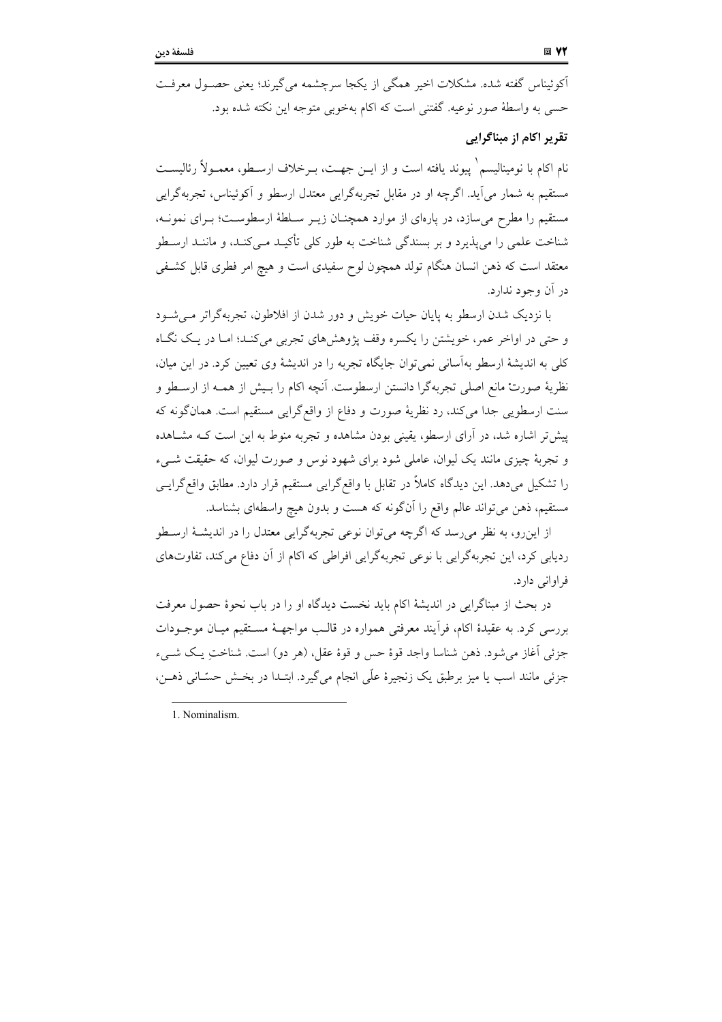آکوئیناس گفته شده. مشکلات اخیر همگی از یکجا سرچشمه می گیرند؛ یعنی حصـول معرفـت حسبي به واسطهٔ صور نوعيه. گفتني است كه اكام بهخوبي متوجه اين نكته شده بود.

تقریر اکام از مبناگرایی

نام اکام با نومینالیسم` پیوند یافته است و از ایــن جهــت، بــرخلاف ارســطو، معمــولاً رئالیســت مستقيم به شمار مي آيد. اگرچه او در مقابل تجربهگرايي معتدل ارسطو و آكوئيناس، تجربهگرايي مستقیم را مطرح می سازد، در یارهای از موارد همچنـان زیـر سـلطهٔ ارسطوسـت؛ بـرای نمونـه، شناخت علمی را می،پذیرد و بر بسندگی شناخت به طور کلی تأکیـد مـی،کنـد، و ماننـد ارسـطو معتقد است که ذهن انسان هنگام تولد همچون لوح سفیدی است و هیچ امر فطری قابل کشـفی در آن وجود ندارد.

با نزدیک شدن ارسطو به پایان حیات خویش و دور شدن از افلاطون، تجربهگراتر می شـود و حتی در اواخر عمر، خویشتن را یکسره وقف یژوهش های تجربی می کنید؛ امیا در یک نگیاه کلی به اندیشهٔ ارسطو بهآسانی نمی توان جایگاه تجربه را در اندیشهٔ وی تعیین کرد. در این میان، نظرية صورتْ مانع اصلي تجربهگرا دانستن ارسطوست. آنچه اكام را بـيش از همــه از ارســطو و سنت ارسطويي جدا مي كند، رد نظريهٔ صورت و دفاع از واقع گرايي مستقيم است. همان گونه كه پیش تر اشاره شد، در آرای ارسطو، یقینی بودن مشاهده و تجربه منوط به این است کـه مشـاهده و تجربهٔ چیزی مانند یک لیوان، عاملی شود برای شهود نوس و صورت لیوان، که حقیقت شبیء را تشکیل می،دهد. این دیدگاه کاملاً در تقابل با واقع\$رایی مستقیم قرار دارد. مطابق واقع\$رایـی مستقیم، ذهن میتواند عالم واقع را آنگونه که هست و بدون هیچ واسطهای بشناسد.

از این رو، به نظر می رسد که اگرچه می توان نوعی تجربهگرایی معتدل را در اندیشـهٔ ارسـطو ردیابی کرد، این تجربهگرایی با نوعی تجربهگرایی افراطی که اکام از آن دفاع می کند، تفاوتهای فراواني دارد.

در بحث از مبناگرایی در اندیشهٔ اکام باید نخست دیدگاه او را در باب نحوهٔ حصول معرفت بررسی کرد. به عقیدهٔ اکام، فرأیند معرفتی همواره در قالب مواجهـهٔ مسـتقیم میـان موجــودات جزئي آغاز مي شود. ذهن شناسا واجد قوهٔ حس و قوهٔ عقل، (هر دو) است. شناختٍ يـك شــيء جزئی مانند اسب یا میز برطبق یک زنجیرهٔ علّمی انجام میگیرد. ابتـدا در بخـش حسّـانی ذهـن،

<sup>1.</sup> Nominalism.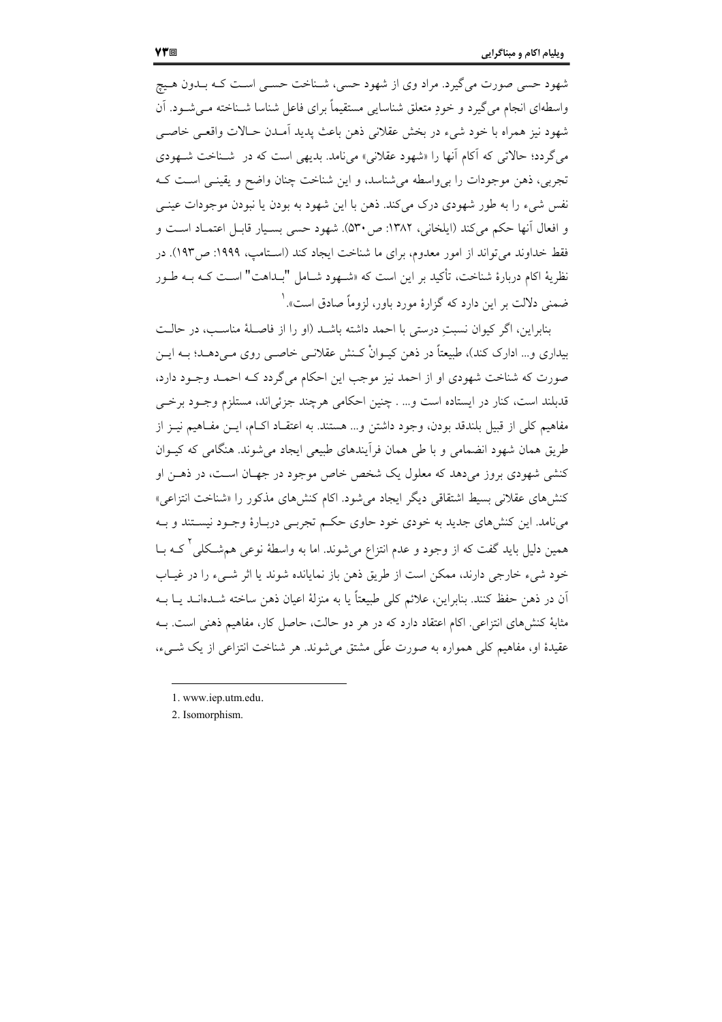شهود حسی صورت می گیرد. مراد وی از شهود حسی، شـناخت حسـی اسـت کـه بـلـدون هـیچ واسطهای انجام می گیرد و خود متعلق شناسایی مستقیماً برای فاعل شناسا شـناخته مـه شـود. آن شهود نيز همراه با خود شيء در بخش عقلاني ذهن باعث يديد أمـدن حـالات واقعـي خاصـي می گردد؛ حالاتی که آکام آنها را «شهود عقلانی» می نامد. بدیهی است که در شـناخت شـهودی تجربي، ذهن موجودات را بي واسطه مي شناسد، و اين شناخت چنان واضح و يقينـي اسـت كـه نفس شيء را به طور شهودي درک ميکند. ذهن با اين شهود به بودن يا نبودن موجودات عينــي و افعال أنها حكم مي كند (ايلخاني، ١٣٨٢: ص٣٠). شهود حسى بسـيار قابـل اعتمــاد اسـت و فقط خداوند میتواند از امور معدوم، برای ما شناخت ایجاد کند (اسـتامپ، ۱۹۹۹: ص۱۹۳). در نظريهٔ اكام دربارهٔ شناخت، تأكيد بر اين است كه «شـهود شـامل "بـداهت" اسـت كـه بــه طــور ضمنی دلالت بر این دارد که گزارهٔ مورد باور، لزوماً صادق است». <sup>(</sup>

بنابراین، اگر کیوان نسبتِ درستی با احمد داشته باشـد (او را از فاصـلهٔ مناسـب، در حالـت بیداری و… ادارک کند)، طبیعتاً در ذهن کیــوانْ کــنش عقلانــی خاصــی روی مــی‹هــد؛ بــه ایــن صورت که شناخت شهودی او از احمد نیز موجب این احکام میگردد کـه احمـد وجـود دارد، ۔<br>قدبلند است، کنار در ایستادہ است و… . چنین احکامی هرچند جزئی|ند، مستلزم وجــود برخــی مفاهيم كلي از قبيل بلندقد بودن، وجود داشتن و… هستند. به اعتقـاد اكــام، ايــن مفــاهيم نيــز از طریق همان شهود انضمامی و با طی همان فرآیندهای طبیعی ایجاد می شوند. هنگامی که کیــوان کنشی شهودی بروز میدهد که معلول یک شخص خاص موجود در جهـان اسـت، در ذهـن او کنشهای عقلانی بسیط اشتقاقی دیگر ایجاد می شود. اکام کنشهای مذکور را «شناخت انتزاعی» مینامد. این کنشهای جدید به خودی خود حاوی حکم تجربـی دربـارهٔ وجـود نیسـتند و بـه همین دلیل باید گفت که از وجود و عدم انتزاع میشوند. اما به واسطهٔ نوعی هم شکلی که بــا خود شيء خارجي دارند، ممكن است از طريق ذهن باز نمايانده شوند يا اثر شــيء را در غيــاب آن در ذهن حفظ کنند. بنابراین، علائم کلی طبیعتاً یا به منزلهٔ اعیان ذهن ساخته شــدهانــد یــا بــه مثابهٔ کنشهای انتزاعی. اکام اعتقاد دارد که در هر دو حالت، حاصل کار، مفاهیم ذهنی است. بـه عقیدهٔ او، مفاهیم کلی همواره به صورت علّی مشتق میشوند. هر شناخت انتزاعی از یک شــیء،

2. Isomorphism.

<sup>1.</sup> www.iep.utm.edu.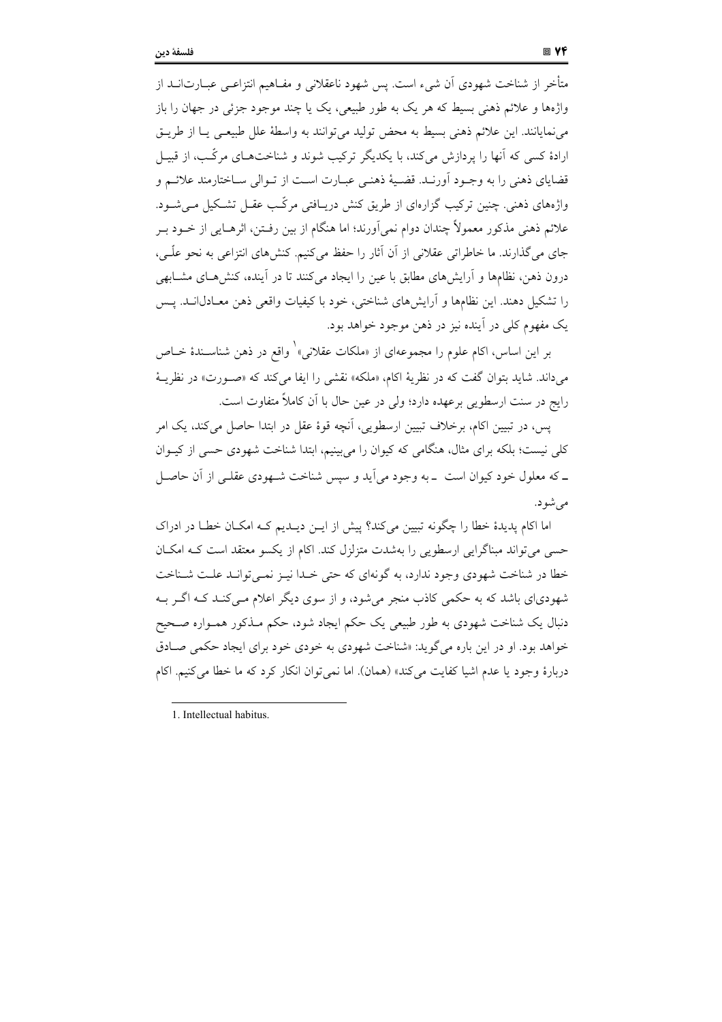متأخر از شناخت شهودی اّن شیء است. پس شهود ناعقلانی و مفـاهیم انتزاعــی عبــارتIنــد از واژهها و علائم ذهني بسيط كه هر يک به طور طبيعي، يک يا چند موجود جزئي در جهان را باز می نمایانند. این علائم ذهنی بسیط به محض تولید می توانند به واسطهٔ علل طبیعـی یـا از طریـق ارادهٔ کسی که آنها را پردازش میکند، با یکدیگر ترکیب شوند و شناختهـای مرکّـب، از قبیـل قضایای ذهنی را به وجـود اَورنـد. قضـیهٔ ذهنـی عبـارت اسـت از تـوالی سـاختارمند علائـم و واژههای ذهنی. چنین ترکیب گزارهای از طریق کنش دریـافتی مرکّـب عقـل تشـکیل مـیشـود. علائم ذهني مذكور معمولاً چندان دوام نمي]ورند؛ اما هنگام از بين رفـتن، اثرهـايي از خــود بــر جای میگذارند. ما خاطراتی عقلانی از آن آثار را حفظ میکنیم. کنشهای انتزاعی به نحو علّـی، درون ذهن، نظامها و آرایش های مطابق با عین را ایجاد میکنند تا در آینده، کنشهـای مشـابهی را تشکیل دهند. این نظامها و آرایشهای شناختی، خود با کیفیات واقعی ذهن معـادل|نــد. پــس يک مفهوم کلي در آينده نيز در ذهن موجود خواهد بود.

بر این اساس، اکام علوم را مجموعهای از «ملکات عقلانی» ٰ واقع در ذهن شناسـندهٔ خــاص می داند. شاید بتوان گفت که در نظریهٔ اکام، «ملکه» نقشی را ایفا می کند که «صـورت» در نظریــهٔ رایج در سنت ارسطویی برعهده دارد؛ ولی در عین حال با آن کاملاً متفاوت است.

يس، در تبيين اكام، برخلاف تبيين ارسطويي، آنچه قوهٔ عقل در ابتدا حاصل مي كند، يك امر کلی نیست؛ بلکه برای مثال، هنگامی که کیوان را می بینیم، ابتدا شناخت شهودی حسی از کیـوان ــ که معلول خود کیوان است ــ به وجود می آید و سپس شناخت شــهودی عقلــی از آن حاصــل مي شو د.

اما اکام پدیدهٔ خطا را چگونه تبیین میکند؟ پیش از ایـن دیـدیم کـه امکـان خطـا در ادراک حسبی می تواند مبناگرایی ارسطویی را بهشدت متزلزل کند. اکام از یکسو معتقد است کـه امکـان خطا در شناخت شهودي وجود ندارد، به گونهاي كه حتى خـدا نيـز نمـي توانـد علـت شـناخت شهودیای باشد که به حکمی کاذب منجر میشود، و از سوی دیگر اعلام مـیکنـد کـه اگـر بـه دنبال یک شناخت شهودی به طور طبیعی یک حکم ایجاد شود، حکم مـذکور همـواره صـحیح خواهد بود. او در این باره می گوید: «شناخت شهودی به خودی خود برای ایجاد حکمی صـادق دربارهٔ وجود یا عدم اشیا کفایت می کند» (همان). اما نمی توان انکار کرد که ما خطا می کنیم. اکام

<sup>1.</sup> Intellectual habitus.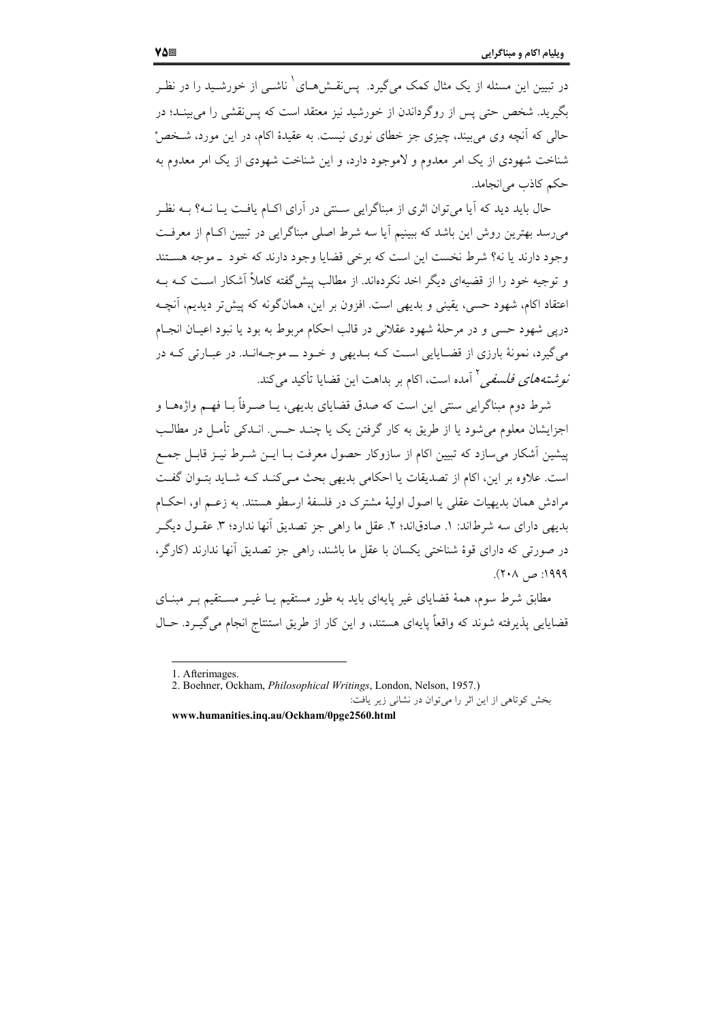در تبیین این مسئله از یک مثال کمک میگیرد. یس نقــشهــای ٔ ناشــی از خورشــید را در نظـر بگیرید. شخص حتی پس از روگرداندن از خورشید نیز معتقد است که پس نقشی را می بینـد؛ در حالي كه آنچه وي مي بيند، چيزي جز خطاي نوري نيست. به عقيدهٔ اكام، در اين مورد، شـخص ْ شناخت شهودی از یک امر معدوم و لاموجود دارد، و این شناخت شهودی از یک امر معدوم به حکم کاذب می انجامد.

حال باید دید که آیا میتوان اثری از مبناگرایی سـنتی در آرای اکـام یافـت یـا نــه؟ بــه نظـر می رسد بهترین روش این باشد که ببینیم آیا سه شرط اصلی مبناگرایی در تبیین اکIم از معرفت وجود دارند یا نه؟ شرط نخست این است که برخی قضایا وجود دارند که خود \_موجه هستند و توجیه خود را از قضیهای دیگر اخد نکردهاند. از مطالب پیش گفته کاملاً اَشکار است کـه بـه اعتقاد اکام، شهود حسی، یقینی و بدیهی است. افزون بر این، همانگونه که پیش تر دیدیم، آنچـه درپی شهود حسی و در مرحلهٔ شهود عقلانی در قالب احکام مربوط به بود یا نبود اعیـان انجـام می گیرد، نمونهٔ بارزی از قضـایایی اسـت کـه بــدیهی و خــود ـــ موجــهانــد. در عبــارتی کــه در *نو شتههای فلسفی <sup>۲</sup> آمده است، اکام بر بداهت این قضایا تأکید می کند.* 

شرط دوم مبناگرایی سنتی این است که صدق قضایای بدیهی، پـا صـرفاً بـا فهـم واژههـا و اجزایشان معلوم می شود یا از طریق به کار گرفتن یک یا چنــد حــس انــدکی تأمــل در مطالــب پیشین اَشکار میسازد که تبیین اکام از سازوکار حصول معرفت بـا ایــن شــرط نیــز قابــل جمــع است. علاوه بر این، اکام از تصدیقات یا احکامی بدیهی بحث می کنـد کـه شـاید بتـوان گفـت مرادش همان بدیهیات عقلی یا اصول اولیهٔ مشترک در فلسفهٔ ارسطو هستند. به زعـم او، احکـام بديهي داراي سه شرطاند: ١. صادقاند؛ ٢. عقل ما راهي جز تصديق أنها ندارد؛ ٣. عقـول ديگـر در صورتی که دارای قوهٔ شناختی یکسان با عقل ما باشند، راهی جز تصدیق آنها ندارند (کارگر، ۱۹۹۹: ص ۲۰۸).

مطابق شرط سوم، همهٔ قضایای غیر پایهای باید به طور مستقیم یـا غیـر مســتقیم بـر مبنــای قضایایی پذیرفته شوند که واقعاً پایهای هستند، و این کار از طریق استنتاج انجام می گیـرد. حـال

www.humanities.ing.au/Ockham/0pge2560.html

<sup>1.</sup> Afterimages.

<sup>2.</sup> Boehner, Ockham, *Philosophical Writings*, London, Nelson, 1957.) بخش کوتاهی از این اثر را می توان در نشانی زیر یافت: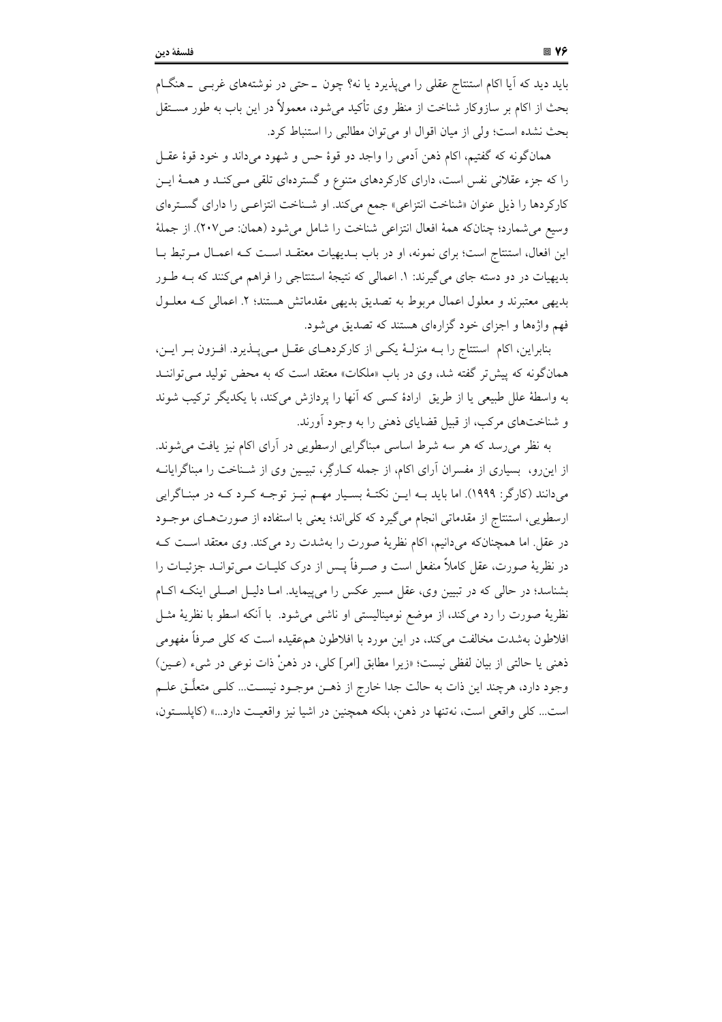باید دید که آیا اکام استنتاج عقلی را می پذیرد یا نه؟ چون \_ حتی در نوشتههای غرببی \_ هنگJم بحث از اکام بر سازوکار شناخت از منظر وی تأکید می شود، معمولاً در این باب به طور مســتقل بحث نشده است؛ ولي از ميان اقوال او مي توان مطالبي را استنباط كرد.

همانگونه که گفتیم، اکام ذهن آدمی را واجد دو قوهٔ حس و شهود میداند و خود قوهٔ عقـل را که جزء عقلانی نفس است، دارای کارکردهای متنوع و گستردهای تلقی مـیکنـد و همـهٔ ایـن کارکردها را ذیل عنوان «شناخت انتزاعی» جمع می کند. او شـناخت انتزاعـی را دارای گسـترهای وسيع مي شمارد؛ چنانکه همهٔ افعال انتزاعي شناخت را شامل مي شود (همان: ص٢٠٧). از جملهٔ این افعال، استنتاج است؛ برای نمونه، او در باب بـدیهیات معتقـد اسـت کـه اعمـال مـرتبط بـا بدیهیات در دو دسته جای میگیرند: ۱. اعمالی که نتیجهٔ استنتاجی را فراهم میکنند که بــه طــور بدیهی معتبرند و معلول اعمال مربوط به تصدیق بدیهی مقدماتش هستند؛ ۲. اعمالی کـه معلـول فهم واژهها و اجزای خود گزارهای هستند که تصدیق می شود.

بنابراین، اکام اسنتتاج را بـه منزلـهٔ یکـی از کارکردهـای عقـل مـیپـذیرد. افـزون بـر ایـن، همانگونه که پیش تر گفته شد، وی در باب «ملکات» معتقد است که به محض تولید مـی تواننــد به واسطهٔ علل طبیعی یا از طریق ارادهٔ کسی که آنها را پردازش میکند، با یکدیگر ترکیب شوند و شناختهای مرکب، از قبیل قضایای ذهنی را به وجود آورند.

به نظر می رسد که هر سه شرط اساسی مبناگرایی ارسطویی در آرای اکام نیز یافت می شوند. از این٫و، بسیاری از مفسران آرای اکام، از جمله کـارگِر، تبیـین وی از شـناخت را مبناگرایانــه میدانند (کارگر: ۱۹۹۹). اما باید بـه ایـن نکتـهٔ بسـیار مهـم نیـز توجـه کـرد کـه در مبنـاگرایی ارسطويي، استنتاج از مقدماتي انجام مي گيرد كه كلي اند؛ يعني با استفاده از صورتهـاي موجـود در عقل. اما همچنانکه میدانیم، اکام نظریهٔ صورت را بهشدت رد میکند. وی معتقد است ک در نظريهٔ صورت، عقل كاملاً منفعل است و صـرفاً يــس از درک کليــات مــي توانــد جزئيــات را بشناسد؛ در حالی که در تبیین وی، عقل مسیر عکس را می پیماید. امـا دلیـل اصـلی اینکـه اکـام نظریهٔ صورت را رد میکند، از موضع نومینالیستی او ناشی میشود. با آنکه اسطو با نظریهٔ مثــل افلاطون بهشدت مخالفت می کند، در این مورد با افلاطون همءقیده است که کلی صرفاً مفهومی ذهني يا حالتي از بيان لفظي نيست؛ «زيرا مطابق [امر] كلي، در ذهنْ ذات نوعي در شيء (عـين) وجود دارد، هرچند این ذات به حالت جدا خارج از ذهـن موجــود نیســت... کلــی متعلَّــق علــم است... كلي واقعي است، نهتنها در ذهن، بلكه همچنين در اشيا نيز واقعيت دارد...» (كايلستون،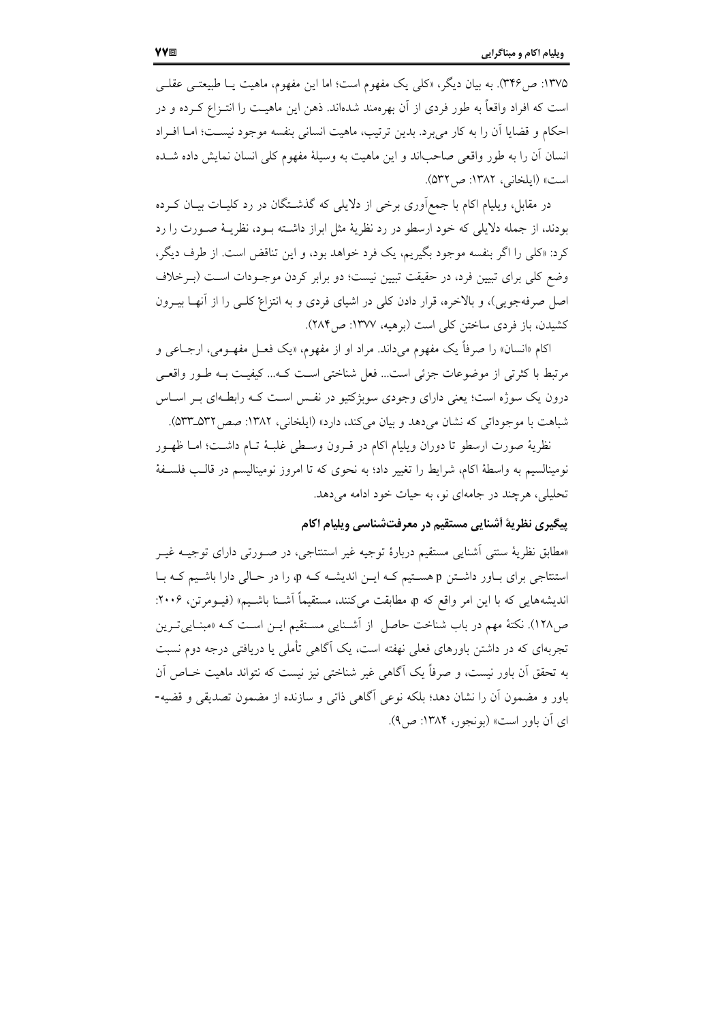۱۳۷۵: ص ۳۴۶). به بیان دیگر، «کلی یک مفهوم است؛ اما این مفهوم، ماهیت یـا طبیعتـی عقلـی است که افراد واقعاً به طور فردی از آن بهرهمند شدهاند. ذهن این ماهیـت را انتـزاع کـرده و در احکام و قضایا اَن را به کار می برد. بدین ترتیب، ماهیت انسانی بنفسه موجود نیست؛ امــا افــراد انسان آن را به طور واقعی صاحباند و این ماهیت به وسیلهٔ مفهوم کلی انسان نمایش داده شـده است» (ایلخانی، ۱۳۸۲: ص ۵۳۲).

در مقابل، ویلیام اکام با جمع|َوری برخی از دلایلی که گذشــتگان در رد کلیــات بیــان کــرده بودند، از جمله دلایلی که خود ارسطو در رد نظریهٔ مثل ابراز داشته بود، نظریـهٔ صـورت را رد كرد: «كلَّى را اگر بنفسه موجود بگيريم، يک فرد خواهد بود، و اين تناقض است. از طرف ديگر، وضع کلی برای تبیین فرد، در حقیقت تبیین نیست؛ دو برابر کردن موجـودات اسـت (بـرخلاف اصل صرفهجویی)، و بالاخره، قرار دادن کلی در اشیای فردی و به انتزاع کلـی را از آنهـا بیــرون كشيدن، باز فردي ساختن كلي است (برهيه، ١٣٧٧: ص ٢٨۴).

اکام «انسان» را صرفاً یک مفهوم میداند. مراد او از مفهوم، «یک فعـل مفهـومی، ارجـاعی و مرتبط با كثرتي از موضوعات جزئي است... فعل شناختي است كـه... كيفيـت بـه طـور واقعـي درون یک سوژه است؛ یعنی دارای وجودی سوبژکتیو در نفس است کـه رابطـهای بـر اسـاس شباهت با موجوداتی که نشان می دهد و بیان می کند، دارد» (ایلخانی، ۱۳۸۲: صص ۵۳۲\_۵۳۳).

نظرية صورت ارسطو تا دوران ويليام اكام در قـرون وسـطى غلبــة تـام داشــت؛ امــا ظهــور نومینالسیم به واسطهٔ اکام، شرایط را تغییر داد؛ به نحوی که تا امروز نومینالیسم در قالـب فلسـفهٔ تحلیلی، هرچند در جامهای نو، به حیات خود ادامه میدهد.

#### پیگیری نظریهٔ أشنایی مستقیم در معرفتشناسی ویلیام اکام

«مطابق نظریهٔ سنتی أشنایی مستقیم دربارهٔ توجیه غیر استنتاجی، در صـورتی دارای توجیــه غیــر استنتاجی برای بـاور داشـتن p هسـتيم کـه ايـن انديشـه کـه p را در حـالي دارا باشـيم کـه بـا اندیشههایی که با این امر واقع که p، مطابقت میکنند، مستقیماً آشـنا باشـیم» (فیــومرتن، ۲۰۰۶: ص١٢٨). نكتهٔ مهم در باب شناخت حاصل از آشـنايي مسـتقيم ايـن اسـت كـه «مبنـايي تـرين تجربهای که در داشتن باورهای فعلی نهفته است، یک آگاهی تأملی یا دریافتی درجه دوم نسبت به تحقق أن باور نيست، و صرفاً يک اَگاهي غير شناختي نيز نيست که نتواند ماهيت خــاص اَن باور و مضمون أن را نشان دهد؛ بلكه نوعي أگاهي ذاتي و سازنده از مضمون تصديقي و قضيه-ای آن باور است» (بونجور، ۱۳۸۴: ص۹).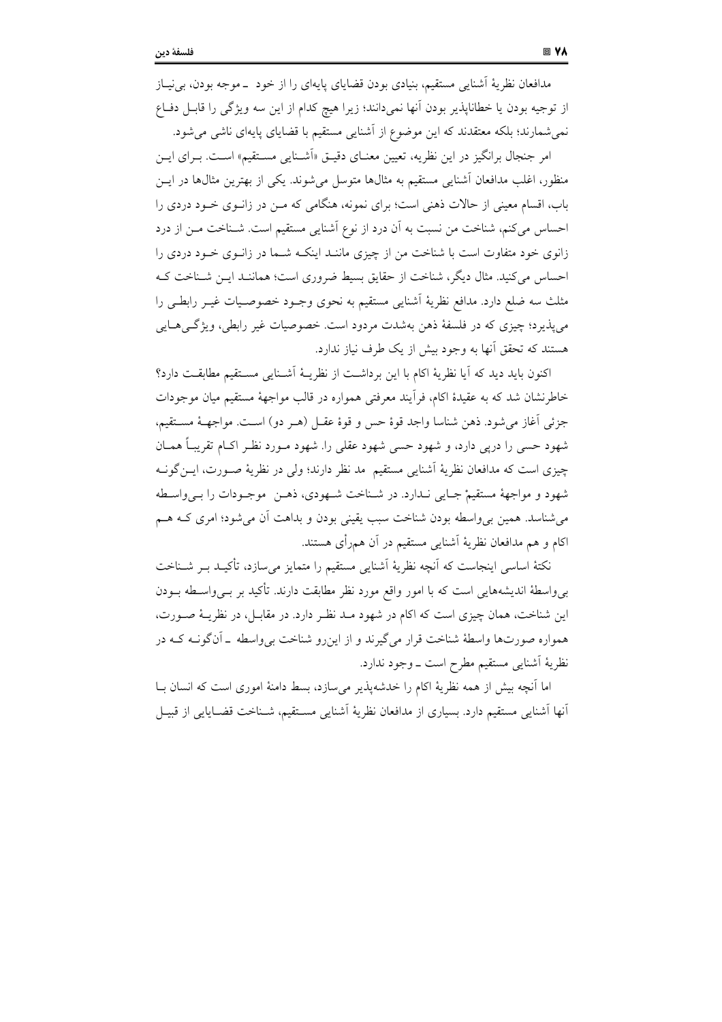مدافعان نظریهٔ اَشنایی مستقیم، بنیادی بودن قضایای پایهای را از خود \_موجه بودن، بی نیاز از توجيه بودن يا خطاناپذير بودن آنها نميدانند؛ زيرا هيچ كدام از اين سه ويژگي را قابـل دفـاع نمی شمارند؛ بلکه معتقدند که این موضوع از اَشنایی مستقیم با قضایای پایهای ناشی می شود.

امر جنجال برانگیز در این نظریه، تعیین معنــای دقیــق «اَشــنایی مســتقیم» اســت. بــرای ایــن منظور، اغلب مدافعان آشنایی مستقیم به مثالها متوسل میشوند. یکی از بهترین مثالها در ایــن باب، اقسام معینی از حالات ذهنی است؛ برای نمونه، هنگامی که مـن در زانـوی خـود دردی را احساس میکنم، شناخت من نسبت به آن درد از نوع آشنایی مستقیم است. شـناخت مـن از درد زانوی خود متفاوت است با شناخت من از چیزی ماننـد اینکـه شـما در زانـوی خـود دردی را احساس میکنید. مثال دیگر، شناخت از حقایق بسیط ضروری است؛ هماننـد ایــن شــناخت کــه مثلث سه ضلع دارد. مدافع نظريهٔ آشنايي مستقيم به نحوي وجـود خصوصـيات غيـر رابطـي را می پذیرد؛ چیزی که در فلسفهٔ ذهن بهشدت مردود است. خصوصیات غیر رابطی، ویژگی هـایی هستند که تحقق آنها به وجود بیش از یک طرف نیاز ندارد.

اكنون بايد ديد كه آيا نظرية اكام با اين برداشت از نظريـهٔ آشـنايي مسـتقيم مطابقـت دارد؟ خاطرنشان شد که به عقیدهٔ اکام، فرأیند معرفتی همواره در قالب مواجههٔ مستقیم میان موجودات جزئي أغاز مي شود. ذهن شناسا واجد قوة حس و قوة عقـل (هـر دو) اسـت. مواجهــة مســتقيم، شهود حسی را دریی دارد، و شهود حسی شهود عقلی را. شهود مـورد نظـر اکـام تقریبـاً همـان چیزی است که مدافعان نظریهٔ آشنایی مستقیم مد نظر دارند؛ ولی در نظریهٔ صـورت، ایــنگونــه شهود و مواجههٔ مستقیمْ جایبی نـدارد. در شـناخت شـهودی، ذهـن موجـودات را بـیواسـطه می شناسد. همین بی واسطه بودن شناخت سبب یقینی بودن و بداهت آن می شود؛ امری کـه هــم اکام و هم مدافعان نظریهٔ آشنایی مستقیم در آن همرأی هستند.

نکتهٔ اساسی اینجاست که آنچه نظریهٔ آشنایی مستقیم را متمایز می سازد، تأکیـد بـر شــناخت بی واسطهٔ اندیشههایی است که با امور واقع مورد نظر مطابقت دارند. تأکید بر بے واسطه بـودن این شناخت، همان چیزی است که اکام در شهود مـد نظـر دارد. در مقابـل، در نظریــهٔ صـورت، همواره صورتها واسطهٔ شناخت قرار میگیرند و از این رو شناخت بی واسطه \_ آنگونــه کــه در نظرية أشنايي مستقيم مطرح است \_ وجود ندارد.

اما آنچه بیش از همه نظریهٔ اکام را خدشهپذیر میسازد، بسط دامنهٔ اموری است که انسان بـا اّنها اَشنایی مستقیم دارد. بسیاری از مدافعان نظریهٔ اَشنایی مسـتقیم، شـناخت قضــایایی از قبیــل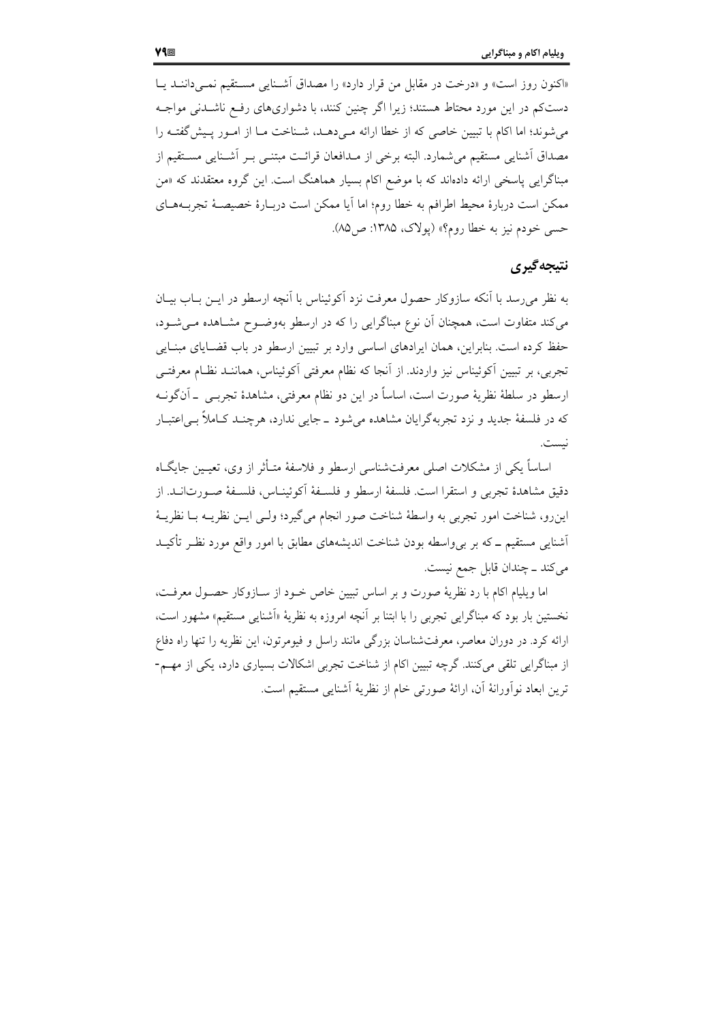«اكنون روز است» و «درخت در مقابل من قرار دارد» را مصداق أشـنايي مسـتقيم نمـى داننـد يـا دستکم در این مورد محتاط هستند؛ زیرا اگر چنین کنند، با دشواریهای رفع ناشـدنی مواجـه می شوند؛ اما اکام با تبیین خاصی که از خطا ارائه مے دهـد، شـناخت مـا از امـور پـیش گفتـه را مصداق اَشنایی مستقیم می شمارد. البته برخی از مـدافعان قرائـت مبتنــی بـر اَشــنایی مســتقیم از مبناگرایی پاسخی ارائه دادهاند که با موضع اکام بسیار هماهنگ است. این گروه معتقدند که «من ممکن است دربارهٔ محیط اطرافم به خطا روم؛ اما أیا ممکن است دربـارهٔ خصیصـهٔ تجربــههــای حسبي خودم نيز به خطا روم؟» (پولاک، ١٣٨۵: ص٥٨).

### نتيجه گيري

به نظر می رسد با اَنکه سازوکار حصول معرفت نزد اَکوئیناس با اَنچه ارسطو در ایــن بــاب بیــان میکند متفاوت است، همچنان آن نوع مبناگرایی را که در ارسطو بهوضـوح مشـاهده مـیشـود، حفظ کرده است. بنابراین، همان ایرادهای اساسی وارد بر تبیین ارسطو در باب قضـایای مبنـایی تجربی، بر تبیین آکوئیناس نیز واردند. از آنجا که نظام معرفتی آکوئیناس، هماننـد نظـام معرفتـی ارسطو در سلطهٔ نظریهٔ صورت است، اساساً در این دو نظام معرفتی، مشاهدهٔ تجربـی \_ آنگونــه که در فلسفهٔ جدید و نزد تجربهگرایان مشاهده میشود ــ جایی ندارد، هرچنــد کــاملاً بــی|عتبــار نست.

اساساً یکی از مشکلات اصلی معرفتشناسی ارسطو و فلاسفهٔ متـأثر از وی، تعیـین جایگــاه دقيق مشاهدهٔ تجربي و استقرا است. فلسفهٔ ارسطو و فلسـفهٔ آکوئينـاس، فلسـفهٔ صـورتانــد. از اینرو، شناخت امور تجربی به واسطهٔ شناخت صور انجام میگیرد؛ ولـی ایــن نظریــه بــا نظریــهٔ اَشنایی مستقیم ــ که بر ب<sub>ی</sub> واسطه بودن شناخت اندیشههای مطابق با امور واقع مورد نظـر تأکیــد مي كند \_ چندان قابل جمع نيست.

اما ويليام اكام با رد نظرية صورت و بر اساس تبيين خاص خـود از سـازوكار حصـول معرفـت، نخستین بار بود که مبناگرایی تجربی را با ابتنا بر آنچه امروزه به نظریهٔ «اَشنایی مستقیم» مشهور است، ارائه کرد. در دوران معاصر، معرفتشناسان بزرگی مانند راسل و فیومرتون، این نظریه را تنها راه دفاع از مبناگرایی تلقی میکنند. گرچه تبیین اکام از شناخت تجربی اشکالات بسیاری دارد، یکی از مهـم-ترين ابعاد نوآورانهٔ آن، ارائهٔ صورتی خام از نظريهٔ آشنايی مستقيم است.